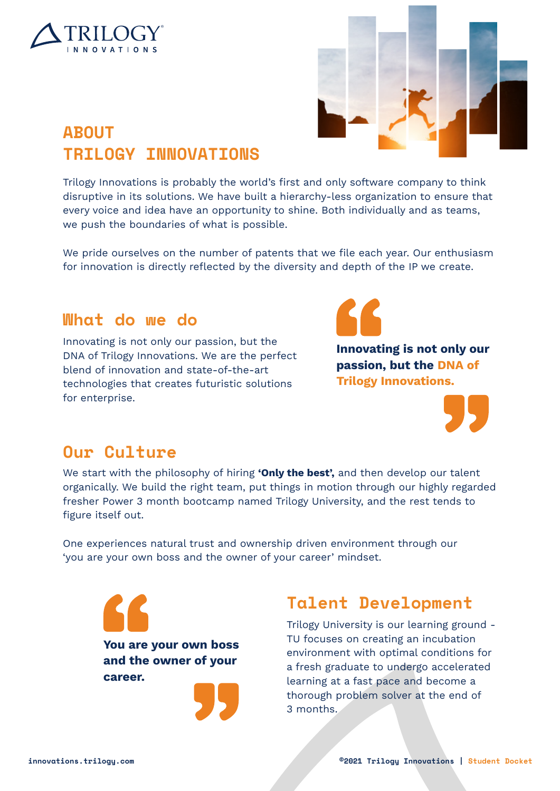



# **ABOUT TRILOGY INNOVATIONS**

Trilogy Innovations is probably the world's first and only software company to think disruptive in its solutions. We have built a hierarchy-less organization to ensure that every voice and idea have an opportunity to shine. Both individually and as teams, we push the boundaries of what is possible.

We pride ourselves on the number of patents that we file each year. Our enthusiasm for innovation is directly reflected by the diversity and depth of the IP we create.

## **What do we do**

Innovating is not only our passion, but the DNA of Trilogy Innovations. We are the perfect blend of innovation and state-of-the-art technologies that creates futuristic solutions for enterprise.



**Innovating is not only our passion, but the DNA of Trilogy Innovations.**



## **Our Culture**

We start with the philosophy of hiring **'Only the best',** and then develop our talent organically. We build the right team, put things in motion through our highly regarded fresher Power 3 month bootcamp named Trilogy University, and the rest tends to figure itself out.

One experiences natural trust and ownership driven environment through our 'you are your own boss and the owner of your career' mindset.



## **Talent Development**

Trilogy University is our learning ground - TU focuses on creating an incubation environment with optimal conditions for a fresh graduate to undergo accelerated learning at a fast pace and become a thorough problem solver at the end of 3 months.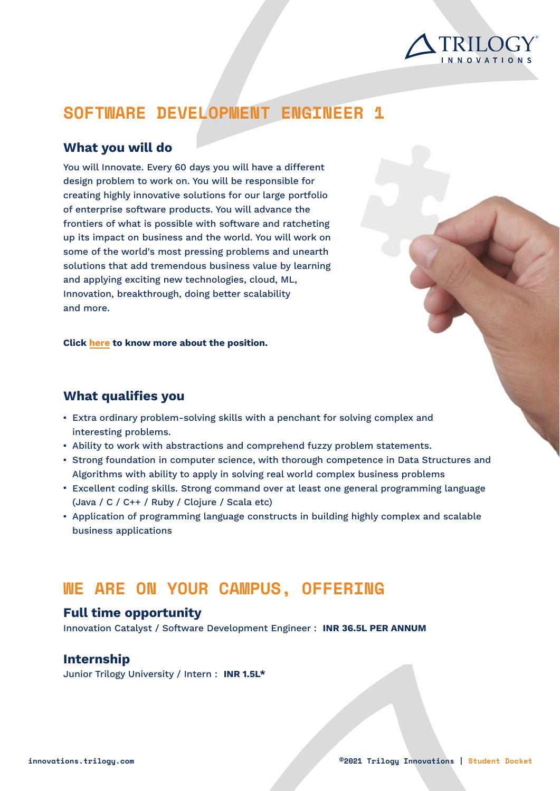

# **SOFTWARE DEVELOPMENT ENGINEER 1**

### **What you will do**

You will Innovate. Every 60 days you will have a different design problem to work on. You will be responsible for creating highly innovative solutions for our large portfolio of enterprise software products. You will advance the frontiers of what is possible with software and ratcheting up its impact on business and the world. You will work on some of the world's most pressing problems and unearth solutions that add tremendous business value by learning and applying exciting new technologies, cloud, ML, Innovation, breakthrough, doing better scalability and more.

**Click [here](https://docs.google.com/document/d/1arLWYLCc7IrGVerNBINzYlJv5Jz9osc0/edit?pli=1) to know more about the position.**

### **What qualifies you**

- $\bullet~$  Extra ordinary problem-solving skills with a penchant for solving complex and interesting problems.
- $\bullet\;$  Ability to work with abstractions and comprehend fuzzy problem statements.
- $\bullet$  Strong foundation in computer science, with thorough competence in Data Structures and Algorithms with ability to apply in solving real world complex business problems
- Excellent coding skills. Strong command over at least one general programming language (Java / C / C++ / Ruby / Clojure / Scala etc)
- Application of programming language constructs in building highly complex and scalable business applications

## **WE ARE ON YOUR CAMPUS, OFFERING**

### **Full time opportunity**

Innovation Catalyst / Software Development Engineer : **INR 36.5L PER ANNUM**

### **Internship**

Junior Trilogy University / Intern : **INR 1.5L\***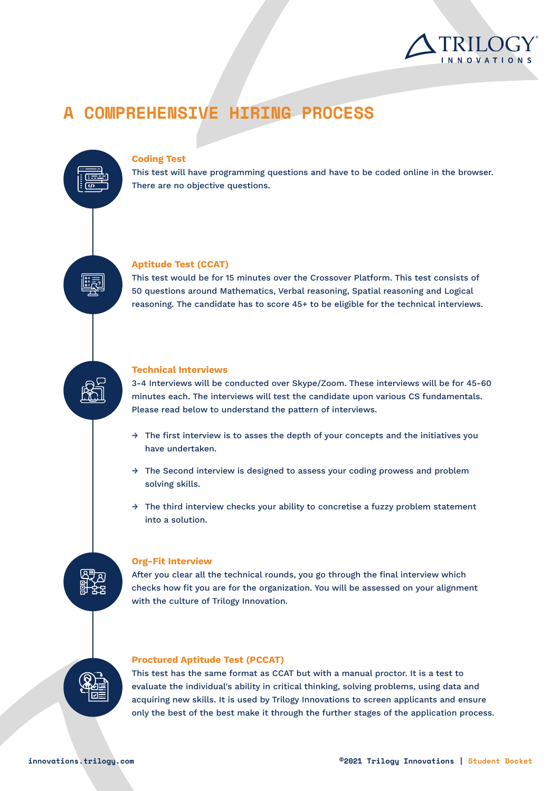

# **A COMPREHENSIVE HIRING PROCESS**

#### **Coding Test**

This test will have programming questions and have to be coded online in the browser. There are no objective questions.

#### **Aptitude Test (CCAT)**

This test would be for 15 minutes over the Crossover Platform. This test consists of 50 questions around Mathematics, Verbal reasoning, Spatial reasoning and Logical reasoning. The candidate has to score 45+ to be eligible for the technical interviews.

#### **Technical Interviews**

3-4 Interviews will be conducted over Skype/Zoom. These interviews will be for 45-60 minutes each. The interviews will test the candidate upon various CS fundamentals. Please read below to understand the pattern of interviews.

- $\rightarrow$  The first interview is to asses the depth of your concepts and the initiatives you have undertaken.
- $\rightarrow$  The Second interview is designed to assess your coding prowess and problem solving skills.
- $\rightarrow$  The third interview checks your ability to concretise a fuzzy problem statement into a solution.

#### **Org-Fit Interview**

After you clear all the technical rounds, you go through the final interview which checks how fit you are for the organization. You will be assessed on your alignment with the culture of Trilogy Innovation.



#### **Proctured Aptitude Test (PCCAT)**

This test has the same format as CCAT but with a manual proctor. It is a test to evaluate the individual's ability in critical thinking, solving problems, using data and acquiring new skills. It is used by Trilogy Innovations to screen applicants and ensure only the best of the best make it through the further stages of the application process.